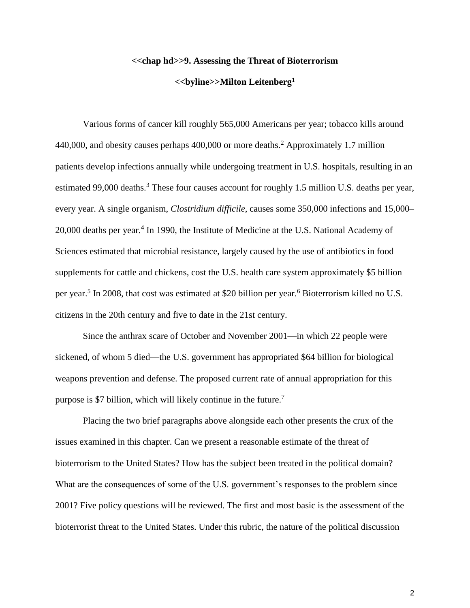## **<<chap hd>>9. Assessing the Threat of Bioterrorism**

## **<<byline>>Milton Leitenberg<sup>1</sup>**

Various forms of cancer kill roughly 565,000 Americans per year; tobacco kills around 440,000, and obesity causes perhaps 400,000 or more deaths.<sup>2</sup> Approximately 1.7 million patients develop infections annually while undergoing treatment in U.S. hospitals, resulting in an estimated 99,000 deaths.<sup>3</sup> These four causes account for roughly 1.5 million U.S. deaths per year, every year. A single organism, *Clostridium difficile*, causes some 350,000 infections and 15,000– 20,000 deaths per year.<sup>4</sup> In 1990, the Institute of Medicine at the U.S. National Academy of Sciences estimated that microbial resistance, largely caused by the use of antibiotics in food supplements for cattle and chickens, cost the U.S. health care system approximately \$5 billion per year.<sup>5</sup> In 2008, that cost was estimated at \$20 billion per year.<sup>6</sup> Bioterrorism killed no U.S. citizens in the 20th century and five to date in the 21st century.

Since the anthrax scare of October and November 2001—in which 22 people were sickened, of whom 5 died—the U.S. government has appropriated \$64 billion for biological weapons prevention and defense. The proposed current rate of annual appropriation for this purpose is \$7 billion, which will likely continue in the future.<sup>7</sup>

Placing the two brief paragraphs above alongside each other presents the crux of the issues examined in this chapter. Can we present a reasonable estimate of the threat of bioterrorism to the United States? How has the subject been treated in the political domain? What are the consequences of some of the U.S. government's responses to the problem since 2001? Five policy questions will be reviewed. The first and most basic is the assessment of the bioterrorist threat to the United States. Under this rubric, the nature of the political discussion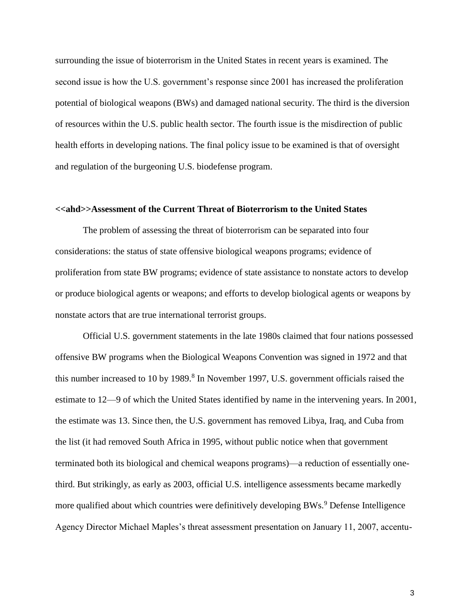surrounding the issue of bioterrorism in the United States in recent years is examined. The second issue is how the U.S. government's response since 2001 has increased the proliferation potential of biological weapons (BWs) and damaged national security. The third is the diversion of resources within the U.S. public health sector. The fourth issue is the misdirection of public health efforts in developing nations. The final policy issue to be examined is that of oversight and regulation of the burgeoning U.S. biodefense program.

## **<<ahd>>Assessment of the Current Threat of Bioterrorism to the United States**

The problem of assessing the threat of bioterrorism can be separated into four considerations: the status of state offensive biological weapons programs; evidence of proliferation from state BW programs; evidence of state assistance to nonstate actors to develop or produce biological agents or weapons; and efforts to develop biological agents or weapons by nonstate actors that are true international terrorist groups.

Official U.S. government statements in the late 1980s claimed that four nations possessed offensive BW programs when the Biological Weapons Convention was signed in 1972 and that this number increased to 10 by 1989.<sup>8</sup> In November 1997, U.S. government officials raised the estimate to 12—9 of which the United States identified by name in the intervening years. In 2001, the estimate was 13. Since then, the U.S. government has removed Libya, Iraq, and Cuba from the list (it had removed South Africa in 1995, without public notice when that government terminated both its biological and chemical weapons programs)—a reduction of essentially onethird. But strikingly, as early as 2003, official U.S. intelligence assessments became markedly more qualified about which countries were definitively developing BWs.<sup>9</sup> Defense Intelligence Agency Director Michael Maples's threat assessment presentation on January 11, 2007, accentu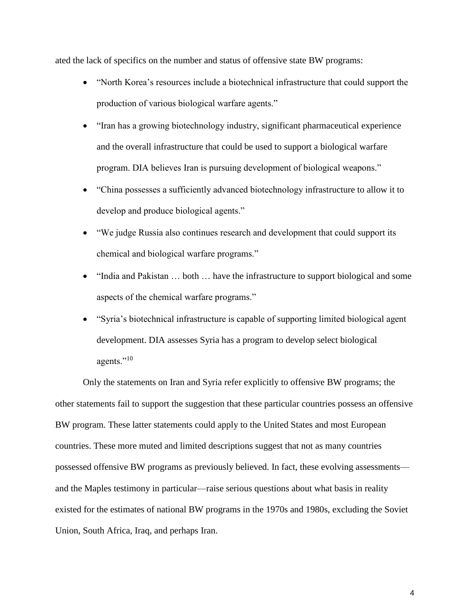ated the lack of specifics on the number and status of offensive state BW programs:

- "North Korea's resources include a biotechnical infrastructure that could support the production of various biological warfare agents."
- "Iran has a growing biotechnology industry, significant pharmaceutical experience and the overall infrastructure that could be used to support a biological warfare program. DIA believes Iran is pursuing development of biological weapons."
- "China possesses a sufficiently advanced biotechnology infrastructure to allow it to develop and produce biological agents."
- "We judge Russia also continues research and development that could support its chemical and biological warfare programs."
- "India and Pakistan ... both ... have the infrastructure to support biological and some aspects of the chemical warfare programs."
- "Syria's biotechnical infrastructure is capable of supporting limited biological agent development. DIA assesses Syria has a program to develop select biological agents."<sup>10</sup>

Only the statements on Iran and Syria refer explicitly to offensive BW programs; the other statements fail to support the suggestion that these particular countries possess an offensive BW program. These latter statements could apply to the United States and most European countries. These more muted and limited descriptions suggest that not as many countries possessed offensive BW programs as previously believed. In fact, these evolving assessments and the Maples testimony in particular—raise serious questions about what basis in reality existed for the estimates of national BW programs in the 1970s and 1980s, excluding the Soviet Union, South Africa, Iraq, and perhaps Iran.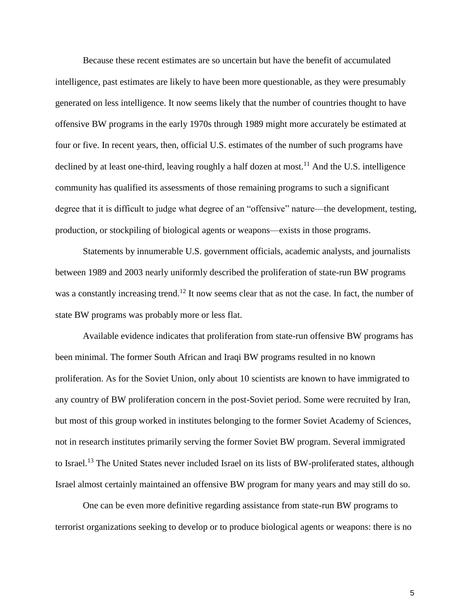Because these recent estimates are so uncertain but have the benefit of accumulated intelligence, past estimates are likely to have been more questionable, as they were presumably generated on less intelligence. It now seems likely that the number of countries thought to have offensive BW programs in the early 1970s through 1989 might more accurately be estimated at four or five. In recent years, then, official U.S. estimates of the number of such programs have declined by at least one-third, leaving roughly a half dozen at most.<sup>11</sup> And the U.S. intelligence community has qualified its assessments of those remaining programs to such a significant degree that it is difficult to judge what degree of an "offensive" nature—the development, testing, production, or stockpiling of biological agents or weapons—exists in those programs.

Statements by innumerable U.S. government officials, academic analysts, and journalists between 1989 and 2003 nearly uniformly described the proliferation of state-run BW programs was a constantly increasing trend.<sup>12</sup> It now seems clear that as not the case. In fact, the number of state BW programs was probably more or less flat.

Available evidence indicates that proliferation from state-run offensive BW programs has been minimal. The former South African and Iraqi BW programs resulted in no known proliferation. As for the Soviet Union, only about 10 scientists are known to have immigrated to any country of BW proliferation concern in the post-Soviet period. Some were recruited by Iran, but most of this group worked in institutes belonging to the former Soviet Academy of Sciences, not in research institutes primarily serving the former Soviet BW program. Several immigrated to Israel.<sup>13</sup> The United States never included Israel on its lists of BW-proliferated states, although Israel almost certainly maintained an offensive BW program for many years and may still do so.

One can be even more definitive regarding assistance from state-run BW programs to terrorist organizations seeking to develop or to produce biological agents or weapons: there is no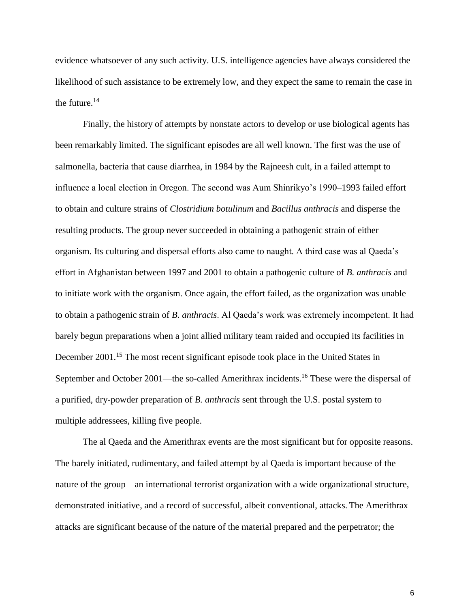evidence whatsoever of any such activity. U.S. intelligence agencies have always considered the likelihood of such assistance to be extremely low, and they expect the same to remain the case in the future. $14$ 

Finally, the history of attempts by nonstate actors to develop or use biological agents has been remarkably limited. The significant episodes are all well known. The first was the use of salmonella, bacteria that cause diarrhea, in 1984 by the Rajneesh cult, in a failed attempt to influence a local election in Oregon. The second was Aum Shinrikyo's 1990–1993 failed effort to obtain and culture strains of *Clostridium botulinum* and *Bacillus anthracis* and disperse the resulting products. The group never succeeded in obtaining a pathogenic strain of either organism. Its culturing and dispersal efforts also came to naught. A third case was al Qaeda's effort in Afghanistan between 1997 and 2001 to obtain a pathogenic culture of *B. anthracis* and to initiate work with the organism. Once again, the effort failed, as the organization was unable to obtain a pathogenic strain of *B. anthracis*. Al Qaeda's work was extremely incompetent. It had barely begun preparations when a joint allied military team raided and occupied its facilities in December 2001.<sup>15</sup> The most recent significant episode took place in the United States in September and October 2001—the so-called Amerithrax incidents.<sup>16</sup> These were the dispersal of a purified, dry-powder preparation of *B. anthracis* sent through the U.S. postal system to multiple addressees, killing five people.

The al Qaeda and the Amerithrax events are the most significant but for opposite reasons. The barely initiated, rudimentary, and failed attempt by al Qaeda is important because of the nature of the group—an international terrorist organization with a wide organizational structure, demonstrated initiative, and a record of successful, albeit conventional, attacks. The Amerithrax attacks are significant because of the nature of the material prepared and the perpetrator; the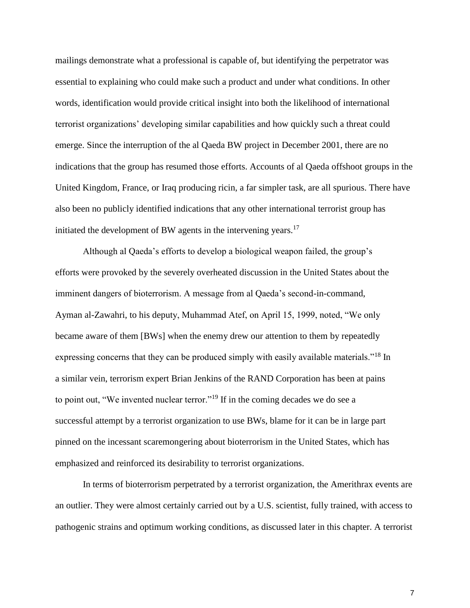mailings demonstrate what a professional is capable of, but identifying the perpetrator was essential to explaining who could make such a product and under what conditions. In other words, identification would provide critical insight into both the likelihood of international terrorist organizations' developing similar capabilities and how quickly such a threat could emerge. Since the interruption of the al Qaeda BW project in December 2001, there are no indications that the group has resumed those efforts. Accounts of al Qaeda offshoot groups in the United Kingdom, France, or Iraq producing ricin, a far simpler task, are all spurious. There have also been no publicly identified indications that any other international terrorist group has initiated the development of BW agents in the intervening years.<sup>17</sup>

Although al Qaeda's efforts to develop a biological weapon failed, the group's efforts were provoked by the severely overheated discussion in the United States about the imminent dangers of bioterrorism. A message from al Qaeda's second-in-command, Ayman al-Zawahri, to his deputy, Muhammad Atef, on April 15, 1999, noted, "We only became aware of them [BWs] when the enemy drew our attention to them by repeatedly expressing concerns that they can be produced simply with easily available materials."<sup>18</sup> In a similar vein, terrorism expert Brian Jenkins of the RAND Corporation has been at pains to point out, "We invented nuclear terror."<sup>19</sup> If in the coming decades we do see a successful attempt by a terrorist organization to use BWs, blame for it can be in large part pinned on the incessant scaremongering about bioterrorism in the United States, which has emphasized and reinforced its desirability to terrorist organizations.

In terms of bioterrorism perpetrated by a terrorist organization, the Amerithrax events are an outlier. They were almost certainly carried out by a U.S. scientist, fully trained, with access to pathogenic strains and optimum working conditions, as discussed later in this chapter. A terrorist

7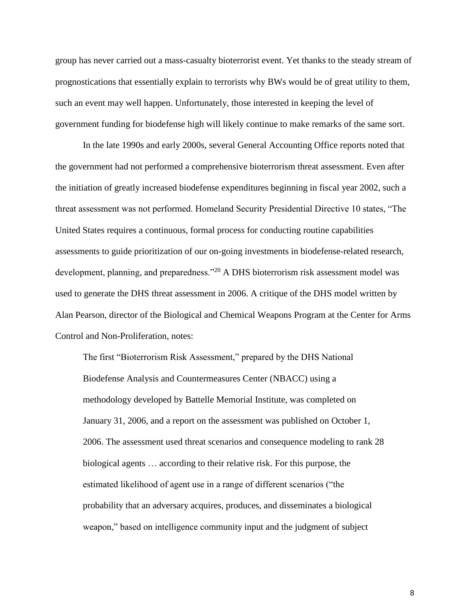group has never carried out a mass-casualty bioterrorist event. Yet thanks to the steady stream of prognostications that essentially explain to terrorists why BWs would be of great utility to them, such an event may well happen. Unfortunately, those interested in keeping the level of government funding for biodefense high will likely continue to make remarks of the same sort.

In the late 1990s and early 2000s, several General Accounting Office reports noted that the government had not performed a comprehensive bioterrorism threat assessment. Even after the initiation of greatly increased biodefense expenditures beginning in fiscal year 2002, such a threat assessment was not performed. Homeland Security Presidential Directive 10 states, "The United States requires a continuous, formal process for conducting routine capabilities assessments to guide prioritization of our on-going investments in biodefense-related research, development, planning, and preparedness."<sup>20</sup> A DHS bioterrorism risk assessment model was used to generate the DHS threat assessment in 2006. A critique of the DHS model written by Alan Pearson, director of the Biological and Chemical Weapons Program at the Center for Arms Control and Non-Proliferation, notes:

The first "Bioterrorism Risk Assessment," prepared by the DHS National Biodefense Analysis and Countermeasures Center (NBACC) using a methodology developed by Battelle Memorial Institute, was completed on January 31, 2006, and a report on the assessment was published on October 1, 2006. The assessment used threat scenarios and consequence modeling to rank 28 biological agents … according to their relative risk. For this purpose, the estimated likelihood of agent use in a range of different scenarios ("the probability that an adversary acquires, produces, and disseminates a biological weapon," based on intelligence community input and the judgment of subject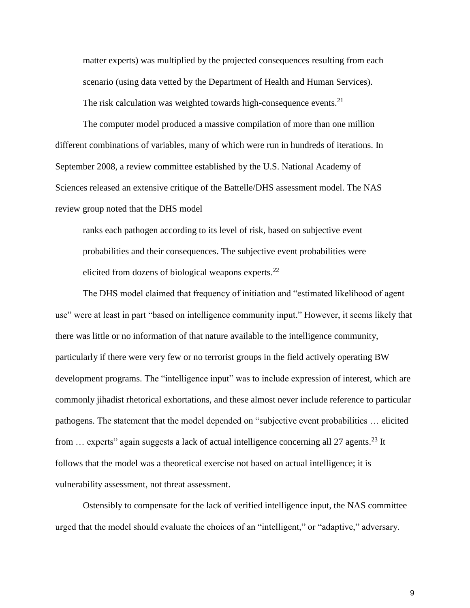matter experts) was multiplied by the projected consequences resulting from each scenario (using data vetted by the Department of Health and Human Services). The risk calculation was weighted towards high-consequence events.<sup>21</sup>

The computer model produced a massive compilation of more than one million different combinations of variables, many of which were run in hundreds of iterations. In September 2008, a review committee established by the U.S. National Academy of Sciences released an extensive critique of the Battelle/DHS assessment model. The NAS review group noted that the DHS model

ranks each pathogen according to its level of risk, based on subjective event probabilities and their consequences. The subjective event probabilities were elicited from dozens of biological weapons experts. $^{22}$ 

The DHS model claimed that frequency of initiation and "estimated likelihood of agent use" were at least in part "based on intelligence community input." However, it seems likely that there was little or no information of that nature available to the intelligence community, particularly if there were very few or no terrorist groups in the field actively operating BW development programs. The "intelligence input" was to include expression of interest, which are commonly jihadist rhetorical exhortations, and these almost never include reference to particular pathogens. The statement that the model depended on "subjective event probabilities … elicited from ... experts" again suggests a lack of actual intelligence concerning all 27 agents.<sup>23</sup> It follows that the model was a theoretical exercise not based on actual intelligence; it is vulnerability assessment, not threat assessment.

Ostensibly to compensate for the lack of verified intelligence input, the NAS committee urged that the model should evaluate the choices of an "intelligent," or "adaptive," adversary.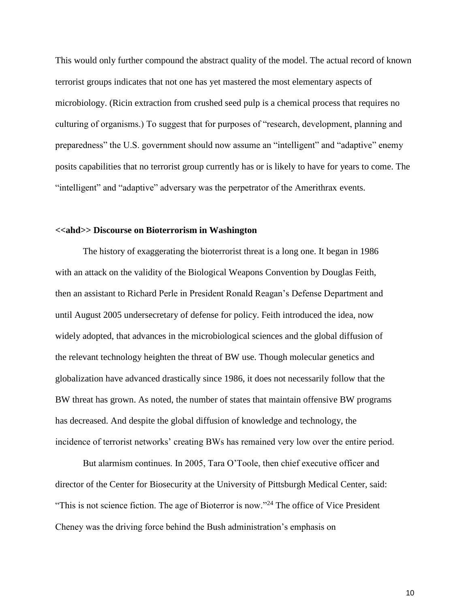This would only further compound the abstract quality of the model. The actual record of known terrorist groups indicates that not one has yet mastered the most elementary aspects of microbiology. (Ricin extraction from crushed seed pulp is a chemical process that requires no culturing of organisms.) To suggest that for purposes of "research, development, planning and preparedness" the U.S. government should now assume an "intelligent" and "adaptive" enemy posits capabilities that no terrorist group currently has or is likely to have for years to come. The "intelligent" and "adaptive" adversary was the perpetrator of the Amerithrax events.

## **<<ahd>> Discourse on Bioterrorism in Washington**

The history of exaggerating the bioterrorist threat is a long one. It began in 1986 with an attack on the validity of the Biological Weapons Convention by Douglas Feith, then an assistant to Richard Perle in President Ronald Reagan's Defense Department and until August 2005 undersecretary of defense for policy. Feith introduced the idea, now widely adopted, that advances in the microbiological sciences and the global diffusion of the relevant technology heighten the threat of BW use. Though molecular genetics and globalization have advanced drastically since 1986, it does not necessarily follow that the BW threat has grown. As noted, the number of states that maintain offensive BW programs has decreased. And despite the global diffusion of knowledge and technology, the incidence of terrorist networks' creating BWs has remained very low over the entire period.

But alarmism continues. In 2005, Tara O'Toole, then chief executive officer and director of the Center for Biosecurity at the University of Pittsburgh Medical Center, said: "This is not science fiction. The age of Bioterror is now."<sup>24</sup> The office of Vice President Cheney was the driving force behind the Bush administration's emphasis on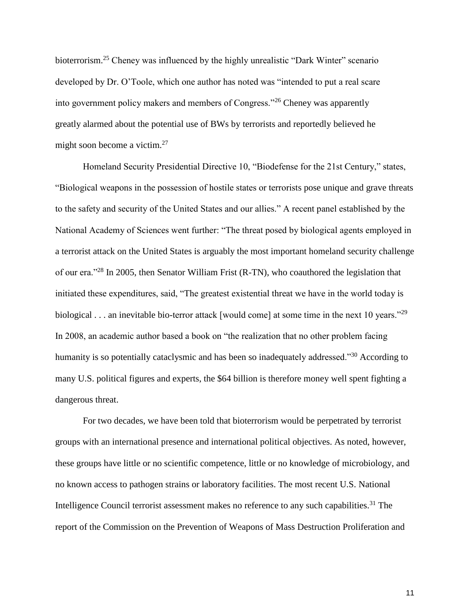bioterrorism.<sup>25</sup> Cheney was influenced by the highly unrealistic "Dark Winter" scenario developed by Dr. O'Toole, which one author has noted was "intended to put a real scare into government policy makers and members of Congress."<sup>26</sup> Cheney was apparently greatly alarmed about the potential use of BWs by terrorists and reportedly believed he might soon become a victim.<sup>27</sup>

Homeland Security Presidential Directive 10, "Biodefense for the 21st Century," states, "Biological weapons in the possession of hostile states or terrorists pose unique and grave threats to the safety and security of the United States and our allies." A recent panel established by the National Academy of Sciences went further: "The threat posed by biological agents employed in a terrorist attack on the United States is arguably the most important homeland security challenge of our era."<sup>28</sup> In 2005, then Senator William Frist (R-TN), who coauthored the legislation that initiated these expenditures, said, "The greatest existential threat we have in the world today is biological . . . an inevitable bio-terror attack [would come] at some time in the next 10 years."<sup>29</sup> In 2008, an academic author based a book on "the realization that no other problem facing humanity is so potentially cataclysmic and has been so inadequately addressed."<sup>30</sup> According to many U.S. political figures and experts, the \$64 billion is therefore money well spent fighting a dangerous threat.

For two decades, we have been told that bioterrorism would be perpetrated by terrorist groups with an international presence and international political objectives. As noted, however, these groups have little or no scientific competence, little or no knowledge of microbiology, and no known access to pathogen strains or laboratory facilities. The most recent U.S. National Intelligence Council terrorist assessment makes no reference to any such capabilities.<sup>31</sup> The report of the Commission on the Prevention of Weapons of Mass Destruction Proliferation and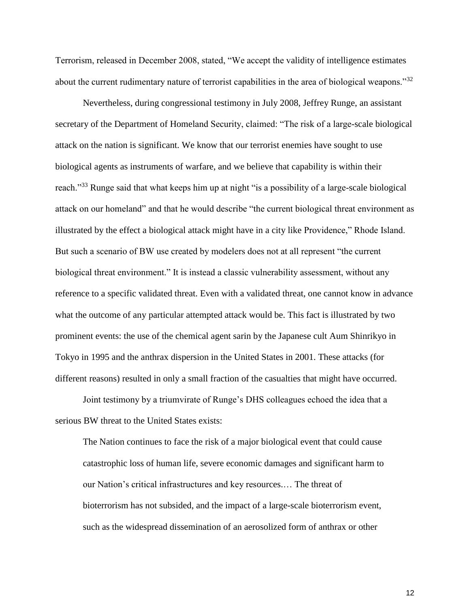Terrorism, released in December 2008, stated, "We accept the validity of intelligence estimates about the current rudimentary nature of terrorist capabilities in the area of biological weapons."<sup>32</sup>

Nevertheless, during congressional testimony in July 2008, Jeffrey Runge, an assistant secretary of the Department of Homeland Security, claimed: "The risk of a large-scale biological attack on the nation is significant. We know that our terrorist enemies have sought to use biological agents as instruments of warfare, and we believe that capability is within their reach."<sup>33</sup> Runge said that what keeps him up at night "is a possibility of a large-scale biological attack on our homeland" and that he would describe "the current biological threat environment as illustrated by the effect a biological attack might have in a city like Providence," Rhode Island. But such a scenario of BW use created by modelers does not at all represent "the current biological threat environment." It is instead a classic vulnerability assessment, without any reference to a specific validated threat. Even with a validated threat, one cannot know in advance what the outcome of any particular attempted attack would be. This fact is illustrated by two prominent events: the use of the chemical agent sarin by the Japanese cult Aum Shinrikyo in Tokyo in 1995 and the anthrax dispersion in the United States in 2001. These attacks (for different reasons) resulted in only a small fraction of the casualties that might have occurred.

Joint testimony by a triumvirate of Runge's DHS colleagues echoed the idea that a serious BW threat to the United States exists:

The Nation continues to face the risk of a major biological event that could cause catastrophic loss of human life, severe economic damages and significant harm to our Nation's critical infrastructures and key resources.… The threat of bioterrorism has not subsided, and the impact of a large-scale bioterrorism event, such as the widespread dissemination of an aerosolized form of anthrax or other

12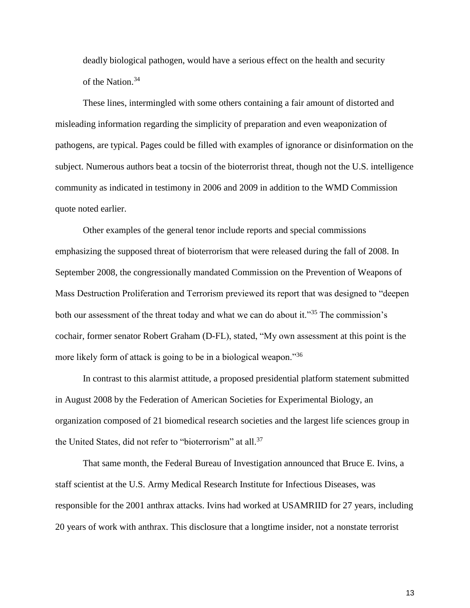deadly biological pathogen, would have a serious effect on the health and security of the Nation.<sup>34</sup>

These lines, intermingled with some others containing a fair amount of distorted and misleading information regarding the simplicity of preparation and even weaponization of pathogens, are typical. Pages could be filled with examples of ignorance or disinformation on the subject. Numerous authors beat a tocsin of the bioterrorist threat, though not the U.S. intelligence community as indicated in testimony in 2006 and 2009 in addition to the WMD Commission quote noted earlier.

Other examples of the general tenor include reports and special commissions emphasizing the supposed threat of bioterrorism that were released during the fall of 2008. In September 2008, the congressionally mandated Commission on the Prevention of Weapons of Mass Destruction Proliferation and Terrorism previewed its report that was designed to "deepen both our assessment of the threat today and what we can do about it."<sup>35</sup> The commission's cochair, former senator Robert Graham (D-FL), stated, "My own assessment at this point is the more likely form of attack is going to be in a biological weapon.<sup>36</sup>

In contrast to this alarmist attitude, a proposed presidential platform statement submitted in August 2008 by the Federation of American Societies for Experimental Biology, an organization composed of 21 biomedical research societies and the largest life sciences group in the United States, did not refer to "bioterrorism" at all.<sup>37</sup>

That same month, the Federal Bureau of Investigation announced that Bruce E. Ivins, a staff scientist at the U.S. Army Medical Research Institute for Infectious Diseases, was responsible for the 2001 anthrax attacks. Ivins had worked at USAMRIID for 27 years, including 20 years of work with anthrax. This disclosure that a longtime insider, not a nonstate terrorist

13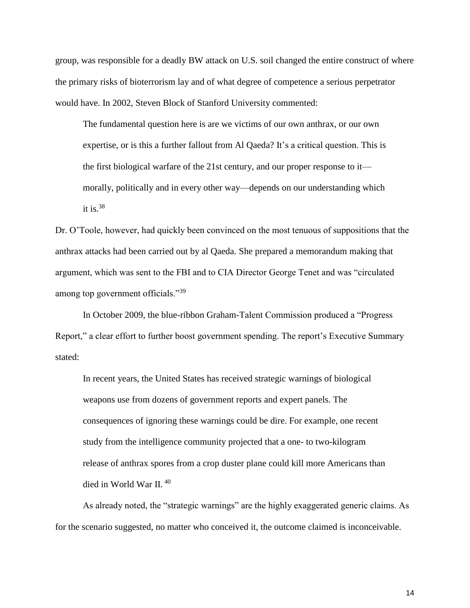group, was responsible for a deadly BW attack on U.S. soil changed the entire construct of where the primary risks of bioterrorism lay and of what degree of competence a serious perpetrator would have. In 2002, Steven Block of Stanford University commented:

The fundamental question here is are we victims of our own anthrax, or our own expertise, or is this a further fallout from Al Qaeda? It's a critical question. This is the first biological warfare of the 21st century, and our proper response to it morally, politically and in every other way—depends on our understanding which it is.  $38$ 

Dr. O'Toole, however, had quickly been convinced on the most tenuous of suppositions that the anthrax attacks had been carried out by al Qaeda. She prepared a memorandum making that argument, which was sent to the FBI and to CIA Director George Tenet and was "circulated among top government officials."<sup>39</sup>

In October 2009, the blue-ribbon Graham-Talent Commission produced a "Progress Report," a clear effort to further boost government spending. The report's Executive Summary stated:

In recent years, the United States has received strategic warnings of biological weapons use from dozens of government reports and expert panels. The consequences of ignoring these warnings could be dire. For example, one recent study from the intelligence community projected that a one- to two-kilogram release of anthrax spores from a crop duster plane could kill more Americans than died in World War II.<sup>40</sup>

As already noted, the "strategic warnings" are the highly exaggerated generic claims. As for the scenario suggested, no matter who conceived it, the outcome claimed is inconceivable.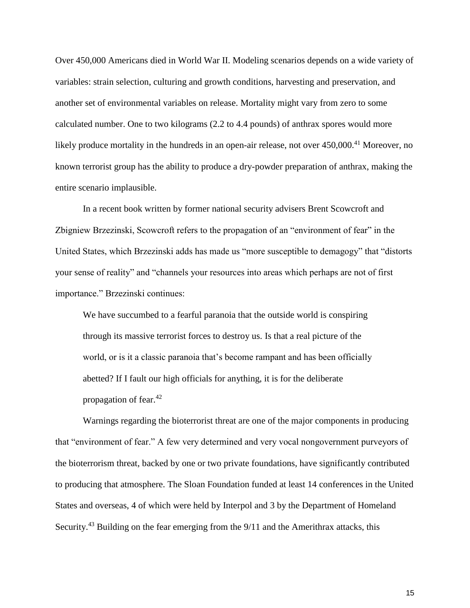Over 450,000 Americans died in World War II. Modeling scenarios depends on a wide variety of variables: strain selection, culturing and growth conditions, harvesting and preservation, and another set of environmental variables on release. Mortality might vary from zero to some calculated number. One to two kilograms (2.2 to 4.4 pounds) of anthrax spores would more likely produce mortality in the hundreds in an open-air release, not over 450,000.<sup>41</sup> Moreover, no known terrorist group has the ability to produce a dry-powder preparation of anthrax, making the entire scenario implausible.

In a recent book written by former national security advisers Brent Scowcroft and Zbigniew Brzezinski, Scowcroft refers to the propagation of an "environment of fear" in the United States, which Brzezinski adds has made us "more susceptible to demagogy" that "distorts your sense of reality" and "channels your resources into areas which perhaps are not of first importance." Brzezinski continues:

We have succumbed to a fearful paranoia that the outside world is conspiring through its massive terrorist forces to destroy us. Is that a real picture of the world, or is it a classic paranoia that's become rampant and has been officially abetted? If I fault our high officials for anything, it is for the deliberate propagation of fear. $42$ 

Warnings regarding the bioterrorist threat are one of the major components in producing that "environment of fear." A few very determined and very vocal nongovernment purveyors of the bioterrorism threat, backed by one or two private foundations, have significantly contributed to producing that atmosphere. The Sloan Foundation funded at least 14 conferences in the United States and overseas, 4 of which were held by Interpol and 3 by the Department of Homeland Security.<sup>43</sup> Building on the fear emerging from the  $9/11$  and the Amerithrax attacks, this

15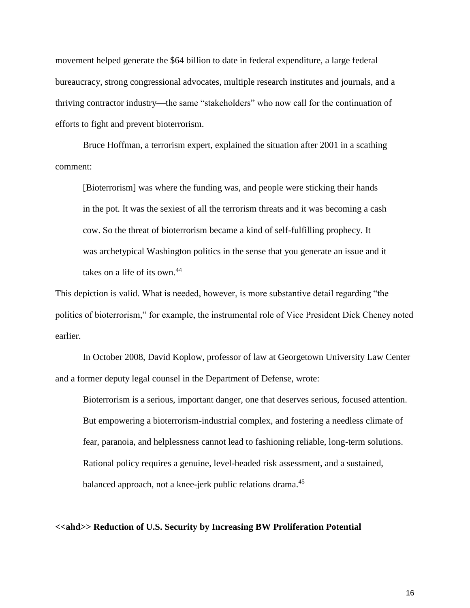movement helped generate the \$64 billion to date in federal expenditure, a large federal bureaucracy, strong congressional advocates, multiple research institutes and journals, and a thriving contractor industry—the same "stakeholders" who now call for the continuation of efforts to fight and prevent bioterrorism.

Bruce Hoffman, a terrorism expert, explained the situation after 2001 in a scathing comment:

[Bioterrorism] was where the funding was, and people were sticking their hands in the pot. It was the sexiest of all the terrorism threats and it was becoming a cash cow. So the threat of bioterrorism became a kind of self-fulfilling prophecy. It was archetypical Washington politics in the sense that you generate an issue and it takes on a life of its own.<sup>44</sup>

This depiction is valid. What is needed, however, is more substantive detail regarding "the politics of bioterrorism," for example, the instrumental role of Vice President Dick Cheney noted earlier.

In October 2008, David Koplow, professor of law at Georgetown University Law Center and a former deputy legal counsel in the Department of Defense, wrote:

Bioterrorism is a serious, important danger, one that deserves serious, focused attention. But empowering a bioterrorism-industrial complex, and fostering a needless climate of fear, paranoia, and helplessness cannot lead to fashioning reliable, long-term solutions. Rational policy requires a genuine, level-headed risk assessment, and a sustained, balanced approach, not a knee-jerk public relations drama.<sup>45</sup>

### **<<ahd>> Reduction of U.S. Security by Increasing BW Proliferation Potential**

16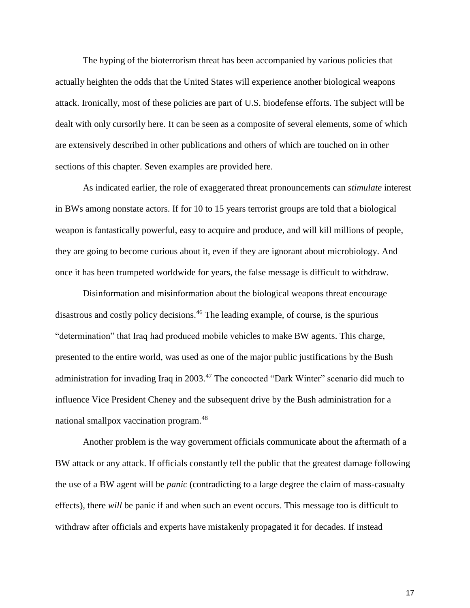The hyping of the bioterrorism threat has been accompanied by various policies that actually heighten the odds that the United States will experience another biological weapons attack. Ironically, most of these policies are part of U.S. biodefense efforts. The subject will be dealt with only cursorily here. It can be seen as a composite of several elements, some of which are extensively described in other publications and others of which are touched on in other sections of this chapter. Seven examples are provided here.

As indicated earlier, the role of exaggerated threat pronouncements can *stimulate* interest in BWs among nonstate actors. If for 10 to 15 years terrorist groups are told that a biological weapon is fantastically powerful, easy to acquire and produce, and will kill millions of people, they are going to become curious about it, even if they are ignorant about microbiology. And once it has been trumpeted worldwide for years, the false message is difficult to withdraw.

Disinformation and misinformation about the biological weapons threat encourage disastrous and costly policy decisions.<sup>46</sup> The leading example, of course, is the spurious "determination" that Iraq had produced mobile vehicles to make BW agents. This charge, presented to the entire world, was used as one of the major public justifications by the Bush administration for invading Iraq in 2003.<sup>47</sup> The concocted "Dark Winter" scenario did much to influence Vice President Cheney and the subsequent drive by the Bush administration for a national smallpox vaccination program.<sup>48</sup>

Another problem is the way government officials communicate about the aftermath of a BW attack or any attack. If officials constantly tell the public that the greatest damage following the use of a BW agent will be *panic* (contradicting to a large degree the claim of mass-casualty effects), there *will* be panic if and when such an event occurs. This message too is difficult to withdraw after officials and experts have mistakenly propagated it for decades. If instead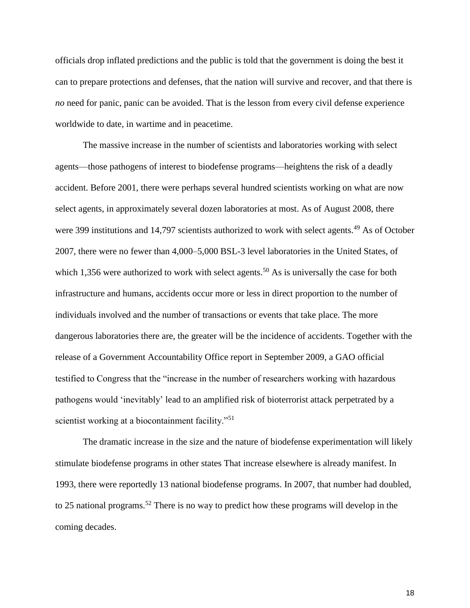officials drop inflated predictions and the public is told that the government is doing the best it can to prepare protections and defenses, that the nation will survive and recover, and that there is *no* need for panic, panic can be avoided. That is the lesson from every civil defense experience worldwide to date, in wartime and in peacetime.

The massive increase in the number of scientists and laboratories working with select agents—those pathogens of interest to biodefense programs—heightens the risk of a deadly accident. Before 2001, there were perhaps several hundred scientists working on what are now select agents, in approximately several dozen laboratories at most. As of August 2008, there were 399 institutions and 14,797 scientists authorized to work with select agents.<sup>49</sup> As of October 2007, there were no fewer than 4,000–5,000 BSL-3 level laboratories in the United States, of which 1,356 were authorized to work with select agents.<sup>50</sup> As is universally the case for both infrastructure and humans, accidents occur more or less in direct proportion to the number of individuals involved and the number of transactions or events that take place. The more dangerous laboratories there are, the greater will be the incidence of accidents. Together with the release of a Government Accountability Office report in September 2009, a GAO official testified to Congress that the "increase in the number of researchers working with hazardous pathogens would 'inevitably' lead to an amplified risk of bioterrorist attack perpetrated by a scientist working at a biocontainment facility."<sup>51</sup>

The dramatic increase in the size and the nature of biodefense experimentation will likely stimulate biodefense programs in other states That increase elsewhere is already manifest. In 1993, there were reportedly 13 national biodefense programs. In 2007, that number had doubled, to 25 national programs.<sup>52</sup> There is no way to predict how these programs will develop in the coming decades.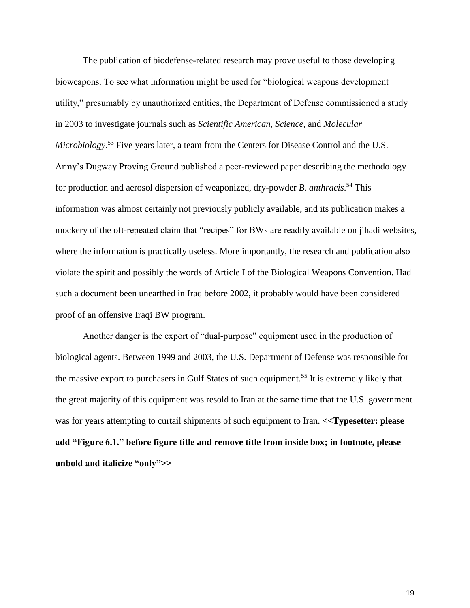The publication of biodefense-related research may prove useful to those developing bioweapons. To see what information might be used for "biological weapons development utility," presumably by unauthorized entities, the Department of Defense commissioned a study in 2003 to investigate journals such as *Scientific American*, *Science*, and *Molecular Microbiology*. <sup>53</sup> Five years later, a team from the Centers for Disease Control and the U.S. Army's Dugway Proving Ground published a peer-reviewed paper describing the methodology for production and aerosol dispersion of weaponized, dry-powder *B. anthracis*. <sup>54</sup> This information was almost certainly not previously publicly available, and its publication makes a mockery of the oft-repeated claim that "recipes" for BWs are readily available on jihadi websites, where the information is practically useless. More importantly, the research and publication also violate the spirit and possibly the words of Article I of the Biological Weapons Convention. Had such a document been unearthed in Iraq before 2002, it probably would have been considered proof of an offensive Iraqi BW program.

Another danger is the export of "dual-purpose" equipment used in the production of biological agents. Between 1999 and 2003, the U.S. Department of Defense was responsible for the massive export to purchasers in Gulf States of such equipment.<sup>55</sup> It is extremely likely that the great majority of this equipment was resold to Iran at the same time that the U.S. government was for years attempting to curtail shipments of such equipment to Iran. **<<Typesetter: please add "Figure 6.1." before figure title and remove title from inside box; in footnote, please unbold and italicize "only">>**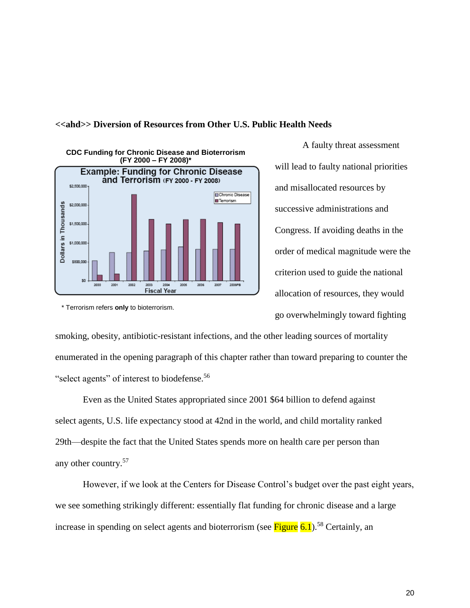

#### **<<ahd>> Diversion of Resources from Other U.S. Public Health Needs**

A faulty threat assessment will lead to faulty national priorities and misallocated resources by successive administrations and Congress. If avoiding deaths in the order of medical magnitude were the criterion used to guide the national allocation of resources, they would go overwhelmingly toward fighting

\* Terrorism refers **only** to bioterrorism.

smoking, obesity, antibiotic-resistant infections, and the other leading sources of mortality enumerated in the opening paragraph of this chapter rather than toward preparing to counter the "select agents" of interest to biodefense.<sup>56</sup>

Even as the United States appropriated since 2001 \$64 billion to defend against select agents, U.S. life expectancy stood at 42nd in the world, and child mortality ranked 29th—despite the fact that the United States spends more on health care per person than any other country.<sup>57</sup>

However, if we look at the Centers for Disease Control's budget over the past eight years, we see something strikingly different: essentially flat funding for chronic disease and a large increase in spending on select agents and bioterrorism (see Figure  $6.1$ ).<sup>58</sup> Certainly, an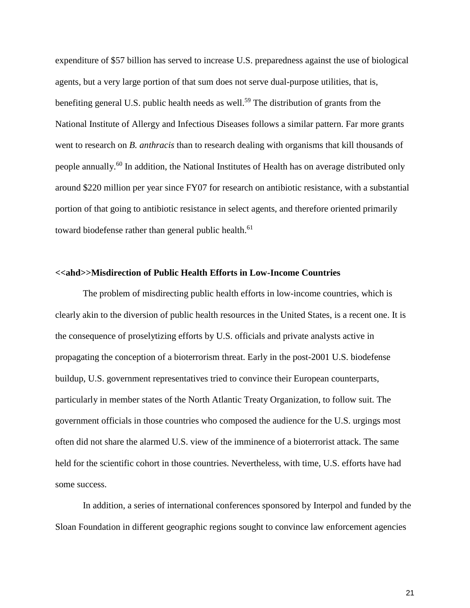expenditure of \$57 billion has served to increase U.S. preparedness against the use of biological agents, but a very large portion of that sum does not serve dual-purpose utilities, that is, benefiting general U.S. public health needs as well.<sup>59</sup> The distribution of grants from the National Institute of Allergy and Infectious Diseases follows a similar pattern. Far more grants went to research on *B. anthracis* than to research dealing with organisms that kill thousands of people annually.<sup>60</sup> In addition, the National Institutes of Health has on average distributed only around \$220 million per year since FY07 for research on antibiotic resistance, with a substantial portion of that going to antibiotic resistance in select agents, and therefore oriented primarily toward biodefense rather than general public health.<sup>61</sup>

### **<<ahd>>Misdirection of Public Health Efforts in Low-Income Countries**

The problem of misdirecting public health efforts in low-income countries, which is clearly akin to the diversion of public health resources in the United States, is a recent one. It is the consequence of proselytizing efforts by U.S. officials and private analysts active in propagating the conception of a bioterrorism threat. Early in the post-2001 U.S. biodefense buildup, U.S. government representatives tried to convince their European counterparts, particularly in member states of the North Atlantic Treaty Organization, to follow suit. The government officials in those countries who composed the audience for the U.S. urgings most often did not share the alarmed U.S. view of the imminence of a bioterrorist attack. The same held for the scientific cohort in those countries. Nevertheless, with time, U.S. efforts have had some success.

In addition, a series of international conferences sponsored by Interpol and funded by the Sloan Foundation in different geographic regions sought to convince law enforcement agencies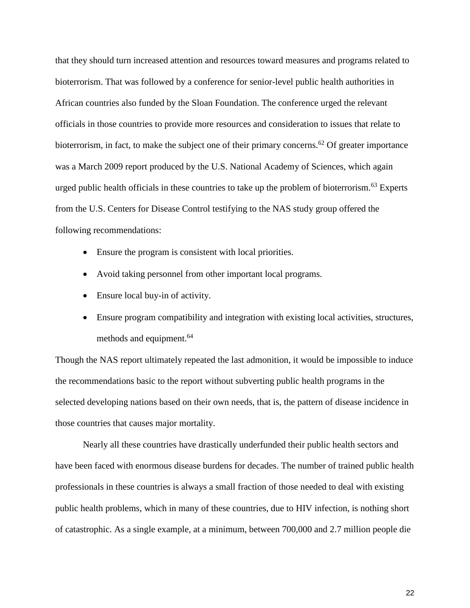that they should turn increased attention and resources toward measures and programs related to bioterrorism. That was followed by a conference for senior-level public health authorities in African countries also funded by the Sloan Foundation. The conference urged the relevant officials in those countries to provide more resources and consideration to issues that relate to bioterrorism, in fact, to make the subject one of their primary concerns.<sup>62</sup> Of greater importance was a March 2009 report produced by the U.S. National Academy of Sciences, which again urged public health officials in these countries to take up the problem of bioterrorism.<sup>63</sup> Experts from the U.S. Centers for Disease Control testifying to the NAS study group offered the following recommendations:

- Ensure the program is consistent with local priorities.
- Avoid taking personnel from other important local programs.
- Ensure local buy-in of activity.
- Ensure program compatibility and integration with existing local activities, structures, methods and equipment.<sup>64</sup>

Though the NAS report ultimately repeated the last admonition, it would be impossible to induce the recommendations basic to the report without subverting public health programs in the selected developing nations based on their own needs, that is, the pattern of disease incidence in those countries that causes major mortality.

Nearly all these countries have drastically underfunded their public health sectors and have been faced with enormous disease burdens for decades. The number of trained public health professionals in these countries is always a small fraction of those needed to deal with existing public health problems, which in many of these countries, due to HIV infection, is nothing short of catastrophic. As a single example, at a minimum, between 700,000 and 2.7 million people die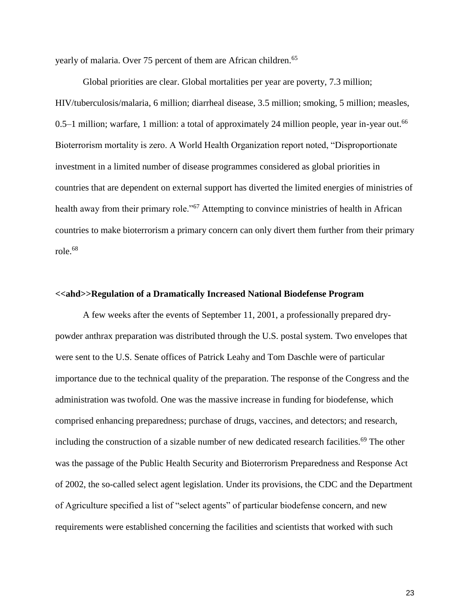yearly of malaria. Over 75 percent of them are African children.<sup>65</sup>

Global priorities are clear. Global mortalities per year are poverty, 7.3 million; HIV/tuberculosis/malaria, 6 million; diarrheal disease, 3.5 million; smoking, 5 million; measles, 0.5–1 million; warfare, 1 million: a total of approximately 24 million people, year in-year out.<sup>66</sup> Bioterrorism mortality is zero. A World Health Organization report noted, "Disproportionate investment in a limited number of disease programmes considered as global priorities in countries that are dependent on external support has diverted the limited energies of ministries of health away from their primary role."<sup>67</sup> Attempting to convince ministries of health in African countries to make bioterrorism a primary concern can only divert them further from their primary role.<sup>68</sup>

## **<<ahd>>Regulation of a Dramatically Increased National Biodefense Program**

A few weeks after the events of September 11, 2001, a professionally prepared drypowder anthrax preparation was distributed through the U.S. postal system. Two envelopes that were sent to the U.S. Senate offices of Patrick Leahy and Tom Daschle were of particular importance due to the technical quality of the preparation. The response of the Congress and the administration was twofold. One was the massive increase in funding for biodefense, which comprised enhancing preparedness; purchase of drugs, vaccines, and detectors; and research, including the construction of a sizable number of new dedicated research facilities.<sup>69</sup> The other was the passage of the Public Health Security and Bioterrorism Preparedness and Response Act of 2002, the so-called select agent legislation. Under its provisions, the CDC and the Department of Agriculture specified a list of "select agents" of particular biodefense concern, and new requirements were established concerning the facilities and scientists that worked with such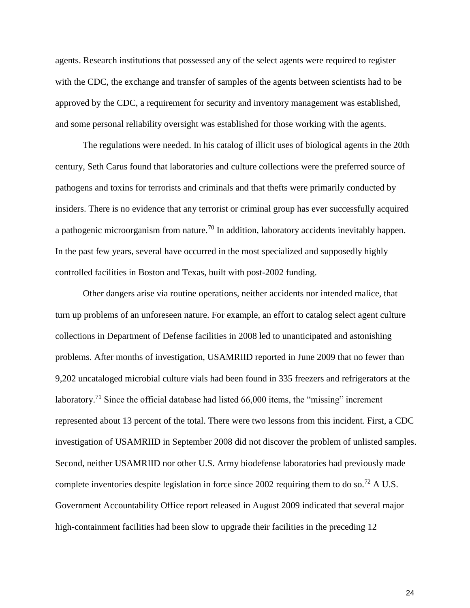agents. Research institutions that possessed any of the select agents were required to register with the CDC, the exchange and transfer of samples of the agents between scientists had to be approved by the CDC, a requirement for security and inventory management was established, and some personal reliability oversight was established for those working with the agents.

The regulations were needed. In his catalog of illicit uses of biological agents in the 20th century, Seth Carus found that laboratories and culture collections were the preferred source of pathogens and toxins for terrorists and criminals and that thefts were primarily conducted by insiders. There is no evidence that any terrorist or criminal group has ever successfully acquired a pathogenic microorganism from nature.<sup>70</sup> In addition, laboratory accidents inevitably happen. In the past few years, several have occurred in the most specialized and supposedly highly controlled facilities in Boston and Texas, built with post-2002 funding.

Other dangers arise via routine operations, neither accidents nor intended malice, that turn up problems of an unforeseen nature. For example, an effort to catalog select agent culture collections in Department of Defense facilities in 2008 led to unanticipated and astonishing problems. After months of investigation, USAMRIID reported in June 2009 that no fewer than 9,202 uncataloged microbial culture vials had been found in 335 freezers and refrigerators at the laboratory.<sup>71</sup> Since the official database had listed  $66,000$  items, the "missing" increment represented about 13 percent of the total. There were two lessons from this incident. First, a CDC investigation of USAMRIID in September 2008 did not discover the problem of unlisted samples. Second, neither USAMRIID nor other U.S. Army biodefense laboratories had previously made complete inventories despite legislation in force since 2002 requiring them to do so.<sup>72</sup> A U.S. Government Accountability Office report released in August 2009 indicated that several major high-containment facilities had been slow to upgrade their facilities in the preceding 12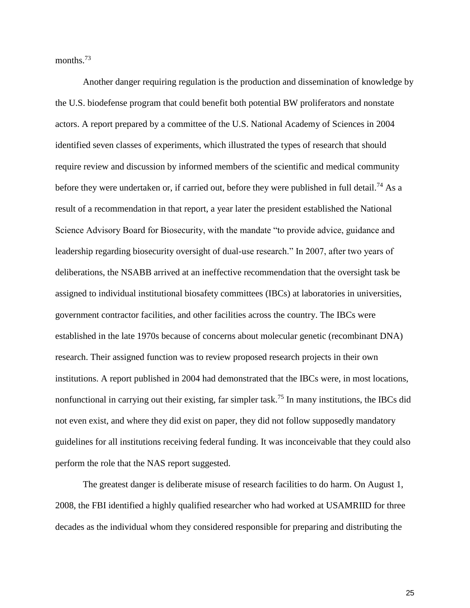months.<sup>73</sup>

Another danger requiring regulation is the production and dissemination of knowledge by the U.S. biodefense program that could benefit both potential BW proliferators and nonstate actors. A report prepared by a committee of the U.S. National Academy of Sciences in 2004 identified seven classes of experiments, which illustrated the types of research that should require review and discussion by informed members of the scientific and medical community before they were undertaken or, if carried out, before they were published in full detail.<sup>74</sup> As a result of a recommendation in that report, a year later the president established the National Science Advisory Board for Biosecurity, with the mandate "to provide advice, guidance and leadership regarding biosecurity oversight of dual-use research." In 2007, after two years of deliberations, the NSABB arrived at an ineffective recommendation that the oversight task be assigned to individual institutional biosafety committees (IBCs) at laboratories in universities, government contractor facilities, and other facilities across the country. The IBCs were established in the late 1970s because of concerns about molecular genetic (recombinant DNA) research. Their assigned function was to review proposed research projects in their own institutions. A report published in 2004 had demonstrated that the IBCs were, in most locations, nonfunctional in carrying out their existing, far simpler task.<sup>75</sup> In many institutions, the IBCs did not even exist, and where they did exist on paper, they did not follow supposedly mandatory guidelines for all institutions receiving federal funding. It was inconceivable that they could also perform the role that the NAS report suggested.

The greatest danger is deliberate misuse of research facilities to do harm. On August 1, 2008, the FBI identified a highly qualified researcher who had worked at USAMRIID for three decades as the individual whom they considered responsible for preparing and distributing the

25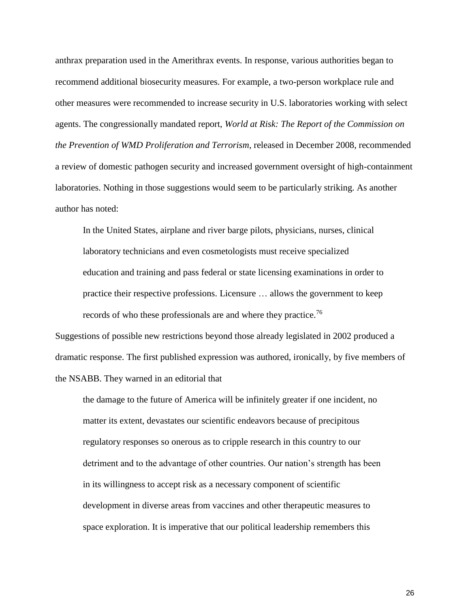anthrax preparation used in the Amerithrax events. In response, various authorities began to recommend additional biosecurity measures. For example, a two-person workplace rule and other measures were recommended to increase security in U.S. laboratories working with select agents. The congressionally mandated report, *World at Risk: The Report of the Commission on the Prevention of WMD Proliferation and Terrorism*, released in December 2008, recommended a review of domestic pathogen security and increased government oversight of high-containment laboratories. Nothing in those suggestions would seem to be particularly striking. As another author has noted:

In the United States, airplane and river barge pilots, physicians, nurses, clinical laboratory technicians and even cosmetologists must receive specialized education and training and pass federal or state licensing examinations in order to practice their respective professions. Licensure … allows the government to keep records of who these professionals are and where they practice.<sup>76</sup>

Suggestions of possible new restrictions beyond those already legislated in 2002 produced a dramatic response. The first published expression was authored, ironically, by five members of the NSABB. They warned in an editorial that

the damage to the future of America will be infinitely greater if one incident, no matter its extent, devastates our scientific endeavors because of precipitous regulatory responses so onerous as to cripple research in this country to our detriment and to the advantage of other countries. Our nation's strength has been in its willingness to accept risk as a necessary component of scientific development in diverse areas from vaccines and other therapeutic measures to space exploration. It is imperative that our political leadership remembers this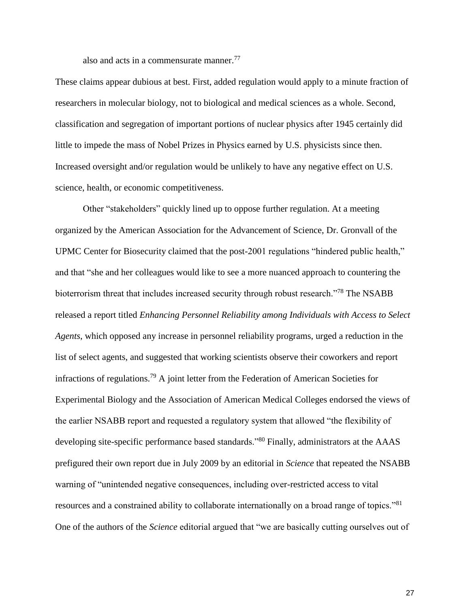also and acts in a commensurate manner.<sup>77</sup>

These claims appear dubious at best. First, added regulation would apply to a minute fraction of researchers in molecular biology, not to biological and medical sciences as a whole. Second, classification and segregation of important portions of nuclear physics after 1945 certainly did little to impede the mass of Nobel Prizes in Physics earned by U.S. physicists since then. Increased oversight and/or regulation would be unlikely to have any negative effect on U.S. science, health, or economic competitiveness.

Other "stakeholders" quickly lined up to oppose further regulation. At a meeting organized by the American Association for the Advancement of Science, Dr. Gronvall of the UPMC Center for Biosecurity claimed that the post-2001 regulations "hindered public health," and that "she and her colleagues would like to see a more nuanced approach to countering the bioterrorism threat that includes increased security through robust research."<sup>78</sup> The NSABB released a report titled *Enhancing Personnel Reliability among Individuals with Access to Select Agents*, which opposed any increase in personnel reliability programs, urged a reduction in the list of select agents, and suggested that working scientists observe their coworkers and report infractions of regulations.<sup>79</sup> A joint letter from the Federation of American Societies for Experimental Biology and the Association of American Medical Colleges endorsed the views of the earlier NSABB report and requested a regulatory system that allowed "the flexibility of developing site-specific performance based standards."<sup>80</sup> Finally, administrators at the AAAS prefigured their own report due in July 2009 by an editorial in *Science* that repeated the NSABB warning of "unintended negative consequences, including over-restricted access to vital resources and a constrained ability to collaborate internationally on a broad range of topics."<sup>81</sup> One of the authors of the *Science* editorial argued that "we are basically cutting ourselves out of

27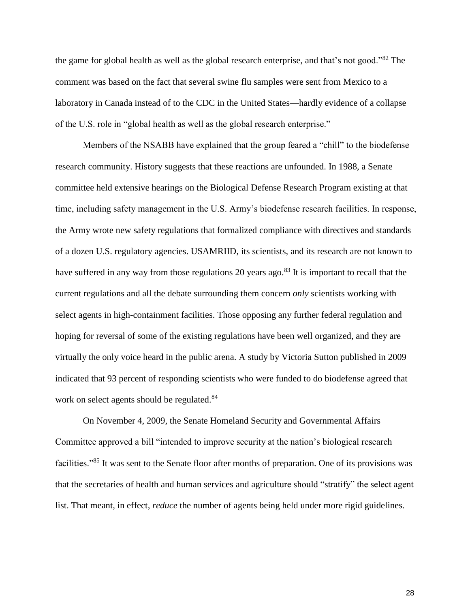the game for global health as well as the global research enterprise, and that's not good."<sup>82</sup> The comment was based on the fact that several swine flu samples were sent from Mexico to a laboratory in Canada instead of to the CDC in the United States—hardly evidence of a collapse of the U.S. role in "global health as well as the global research enterprise."

Members of the NSABB have explained that the group feared a "chill" to the biodefense research community. History suggests that these reactions are unfounded. In 1988, a Senate committee held extensive hearings on the Biological Defense Research Program existing at that time, including safety management in the U.S. Army's biodefense research facilities. In response, the Army wrote new safety regulations that formalized compliance with directives and standards of a dozen U.S. regulatory agencies. USAMRIID, its scientists, and its research are not known to have suffered in any way from those regulations 20 years ago.<sup>83</sup> It is important to recall that the current regulations and all the debate surrounding them concern *only* scientists working with select agents in high-containment facilities. Those opposing any further federal regulation and hoping for reversal of some of the existing regulations have been well organized, and they are virtually the only voice heard in the public arena. A study by Victoria Sutton published in 2009 indicated that 93 percent of responding scientists who were funded to do biodefense agreed that work on select agents should be regulated.<sup>84</sup>

On November 4, 2009, the Senate Homeland Security and Governmental Affairs Committee approved a bill "intended to improve security at the nation's biological research facilities."<sup>85</sup> It was sent to the Senate floor after months of preparation. One of its provisions was that the secretaries of health and human services and agriculture should "stratify" the select agent list. That meant, in effect, *reduce* the number of agents being held under more rigid guidelines.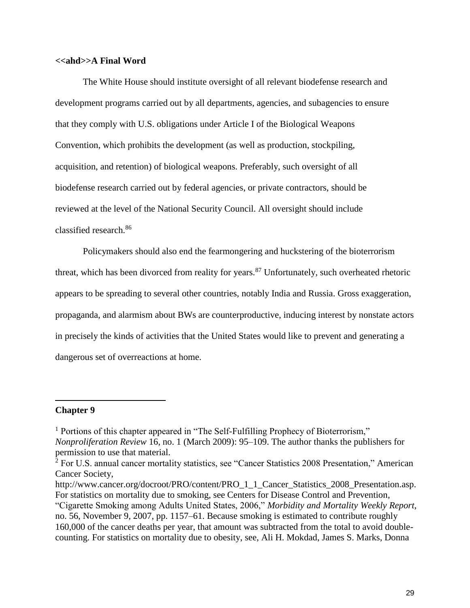## **<<ahd>>A Final Word**

The White House should institute oversight of all relevant biodefense research and development programs carried out by all departments, agencies, and subagencies to ensure that they comply with U.S. obligations under Article I of the Biological Weapons Convention, which prohibits the development (as well as production, stockpiling, acquisition, and retention) of biological weapons. Preferably, such oversight of all biodefense research carried out by federal agencies, or private contractors, should be reviewed at the level of the National Security Council. All oversight should include classified research.<sup>86</sup>

Policymakers should also end the fearmongering and huckstering of the bioterrorism threat, which has been divorced from reality for years.<sup>87</sup> Unfortunately, such overheated rhetoric appears to be spreading to several other countries, notably India and Russia. Gross exaggeration, propaganda, and alarmism about BWs are counterproductive, inducing interest by nonstate actors in precisely the kinds of activities that the United States would like to prevent and generating a dangerous set of overreactions at home.

# **Chapter 9**

 $\overline{a}$ 

<sup>&</sup>lt;sup>1</sup> Portions of this chapter appeared in "The Self-Fulfilling Prophecy of Bioterrorism," *Nonproliferation Review* 16, no. 1 (March 2009): 95–109. The author thanks the publishers for permission to use that material.

<sup>&</sup>lt;sup>2</sup> For U.S. annual cancer mortality statistics, see "Cancer Statistics 2008 Presentation," American Cancer Society,

http://www.cancer.org/docroot/PRO/content/PRO\_1\_1\_Cancer\_Statistics\_2008\_Presentation.asp. For statistics on mortality due to smoking, see Centers for Disease Control and Prevention,

<sup>&</sup>quot;Cigarette Smoking among Adults United States, 2006," *Morbidity and Mortality Weekly Report*, no. 56, November 9, 2007, pp. 1157–61. Because smoking is estimated to contribute roughly 160,000 of the cancer deaths per year, that amount was subtracted from the total to avoid doublecounting. For statistics on mortality due to obesity, see, Ali H. Mokdad, James S. Marks, Donna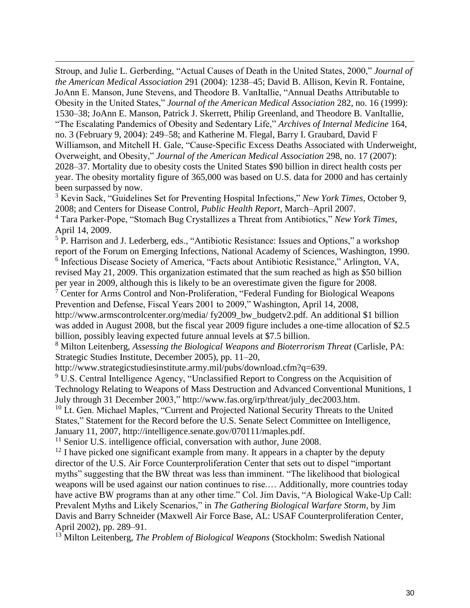Stroup, and Julie L. Gerberding, "Actual Causes of Death in the United States, 2000," *Journal of the American Medical Association* 291 (2004): 1238–45; David B. Allison, Kevin R. Fontaine, JoAnn E. Manson, June Stevens, and Theodore B. VanItallie, "Annual Deaths Attributable to Obesity in the United States," *Journal of the American Medical Association* 282, no. 16 (1999): 1530–38; JoAnn E. Manson, Patrick J. Skerrett, Philip Greenland, and Theodore B. VanItallie, "The Escalating Pandemics of Obesity and Sedentary Life," *Archives of Internal Medicine* 164, no. 3 (February 9, 2004): 249–58; and Katherine M. Flegal, Barry I. Graubard, David F Williamson, and Mitchell H. Gale, "Cause-Specific Excess Deaths Associated with Underweight, Overweight, and Obesity," *Journal of the American Medical Association* 298, no. 17 (2007): 2028–37. Mortality due to obesity costs the United States \$90 billion in direct health costs per year. The obesity mortality figure of 365,000 was based on U.S. data for 2000 and has certainly been surpassed by now.

 $\overline{a}$ 

<sup>3</sup> Kevin Sack, "Guidelines Set for Preventing Hospital Infections," *New York Times*, October 9, 2008; and Centers for Disease Control, *Public Health Report*, March–April 2007.

<sup>4</sup> Tara Parker-Pope, "Stomach Bug Crystallizes a Threat from Antibiotics," *New York Times*, April 14, 2009.

<sup>5</sup> P. Harrison and J. Lederberg, eds., "Antibiotic Resistance: Issues and Options," a workshop report of the Forum on Emerging Infections, National Academy of Sciences, Washington, 1990. <sup>6</sup> Infectious Disease Society of America, "Facts about Antibiotic Resistance," Arlington, VA, revised May 21, 2009. This organization estimated that the sum reached as high as \$50 billion per year in 2009, although this is likely to be an overestimate given the figure for 2008.

<sup>7</sup> Center for Arms Control and Non-Proliferation, "Federal Funding for Biological Weapons Prevention and Defense, Fiscal Years 2001 to 2009," Washington, April 14, 2008, http://www.armscontrolcenter.org/media/ fy2009\_bw\_budgetv2.pdf. An additional \$1 billion

was added in August 2008, but the fiscal year 2009 figure includes a one-time allocation of \$2.5 billion, possibly leaving expected future annual levels at \$7.5 billion.

<sup>8</sup> Milton Leitenberg, *Assessing the Biological Weapons and Bioterrorism Threat* (Carlisle, PA: Strategic Studies Institute, December 2005), pp. 11–20,

http://www.strategicstudiesinstitute.army.mil/pubs/download.cfm?q=639.

<sup>9</sup> U.S. Central Intelligence Agency, "Unclassified Report to Congress on the Acquisition of Technology Relating to Weapons of Mass Destruction and Advanced Conventional Munitions, 1 July through 31 December 2003," http://www.fas.org/irp/threat/july\_dec2003.htm.

<sup>10</sup> Lt. Gen. Michael Maples, "Current and Projected National Security Threats to the United States," Statement for the Record before the U.S. Senate Select Committee on Intelligence, January 11, 2007, http://intelligence.senate.gov/070111/maples.pdf.

<sup>11</sup> Senior U.S. intelligence official, conversation with author, June 2008.

 $12$  I have picked one significant example from many. It appears in a chapter by the deputy director of the U.S. Air Force Counterproliferation Center that sets out to dispel "important myths" suggesting that the BW threat was less than imminent. "The likelihood that biological weapons will be used against our nation continues to rise.… Additionally, more countries today have active BW programs than at any other time." Col. Jim Davis, "A Biological Wake-Up Call: Prevalent Myths and Likely Scenarios," in *The Gathering Biological Warfare Storm*, by Jim Davis and Barry Schneider (Maxwell Air Force Base, AL: USAF Counterproliferation Center, April 2002), pp. 289–91.

<sup>13</sup> Milton Leitenberg, *The Problem of Biological Weapons* (Stockholm: Swedish National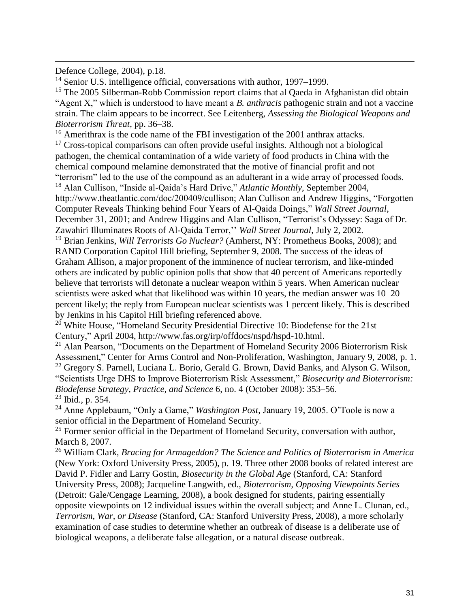Defence College, 2004), p.18.

 $\overline{a}$ 

<sup>14</sup> Senior U.S. intelligence official, conversations with author, 1997–1999.

<sup>15</sup> The 2005 Silberman-Robb Commission report claims that al Qaeda in Afghanistan did obtain "Agent X," which is understood to have meant a *B. anthracis* pathogenic strain and not a vaccine strain. The claim appears to be incorrect. See Leitenberg, *Assessing the Biological Weapons and Bioterrorism Threat*, pp. 36–38.

<sup>16</sup> Amerithrax is the code name of the FBI investigation of the 2001 anthrax attacks.

 $17$  Cross-topical comparisons can often provide useful insights. Although not a biological pathogen, the chemical contamination of a wide variety of food products in China with the chemical compound melamine demonstrated that the motive of financial profit and not "terrorism" led to the use of the compound as an adulterant in a wide array of processed foods. <sup>18</sup> Alan Cullison, "Inside al-Qaida's Hard Drive," *Atlantic Monthly*, September 2004, http://www.theatlantic.com/doc/200409/cullison; Alan Cullison and Andrew Higgins, "Forgotten" Computer Reveals Thinking behind Four Years of Al-Qaida Doings," *Wall Street Journal*, December 31, 2001; and Andrew Higgins and Alan Cullison, "Terrorist's Odyssey: Saga of Dr. Zawahiri Illuminates Roots of Al-Qaida Terror,'' *Wall Street Journal*, July 2, 2002.

<sup>19</sup> Brian Jenkins, *Will Terrorists Go Nuclear?* (Amherst, NY: Prometheus Books, 2008); and RAND Corporation Capitol Hill briefing, September 9, 2008. The success of the ideas of Graham Allison, a major proponent of the imminence of nuclear terrorism, and like-minded others are indicated by public opinion polls that show that 40 percent of Americans reportedly believe that terrorists will detonate a nuclear weapon within 5 years. When American nuclear scientists were asked what that likelihood was within 10 years, the median answer was 10–20 percent likely; the reply from European nuclear scientists was 1 percent likely. This is described by Jenkins in his Capitol Hill briefing referenced above.

<sup>20</sup> White House, "Homeland Security Presidential Directive 10: Biodefense for the 21st Century," April 2004, http://www.fas.org/irp/offdocs/nspd/hspd-10.html.

 $^{21}$  Alan Pearson, "Documents on the Department of Homeland Security 2006 Bioterrorism Risk Assessment," Center for Arms Control and Non-Proliferation, Washington, January 9, 2008, p. 1. <sup>22</sup> Gregory S. Parnell, Luciana L. Borio, Gerald G. Brown, David Banks, and Alyson G. Wilson, "Scientists Urge DHS to Improve Bioterrorism Risk Assessment," *Biosecurity and Bioterrorism: Biodefense Strategy, Practice, and Science* 6, no. 4 (October 2008): 353–56. <sup>23</sup> Ibid., p. 354.

<sup>24</sup> Anne Applebaum, "Only a Game," *Washington Post*, January 19, 2005. O'Toole is now a senior official in the Department of Homeland Security.

 $25$  Former senior official in the Department of Homeland Security, conversation with author, March 8, 2007.

<sup>26</sup> William Clark, *Bracing for Armageddon? The Science and Politics of Bioterrorism in America* (New York: Oxford University Press, 2005), p. 19. Three other 2008 books of related interest are David P. Fidler and Larry Gostin, *Biosecurity in the Global Age* (Stanford, CA: Stanford University Press, 2008); Jacqueline Langwith, ed., *Bioterrorism, Opposing Viewpoints Series*  (Detroit: Gale/Cengage Learning, 2008), a book designed for students, pairing essentially opposite viewpoints on 12 individual issues within the overall subject; and Anne L. Clunan, ed., *Terrorism, War, or Disease* (Stanford, CA: Stanford University Press, 2008), a more scholarly examination of case studies to determine whether an outbreak of disease is a deliberate use of biological weapons, a deliberate false allegation, or a natural disease outbreak.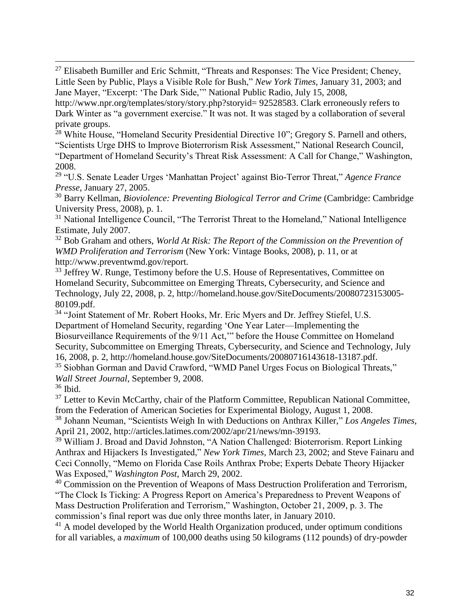<sup>27</sup> Elisabeth Bumiller and Eric Schmitt, "Threats and Responses: The Vice President; Cheney, Little Seen by Public, Plays a Visible Role for Bush," *New York Times*, January 31, 2003; and Jane Mayer, "Excerpt: 'The Dark Side,'" National Public Radio, July 15, 2008,

http://www.npr.org/templates/story/story.php?storyid= 92528583. Clark erroneously refers to Dark Winter as "a government exercise." It was not. It was staged by a collaboration of several private groups.

<sup>28</sup> White House, "Homeland Security Presidential Directive 10"; Gregory S. Parnell and others, "Scientists Urge DHS to Improve Bioterrorism Risk Assessment," National Research Council, "Department of Homeland Security's Threat Risk Assessment: A Call for Change," Washington, 2008.

<sup>29</sup> "U.S. Senate Leader Urges 'Manhattan Project' against Bio-Terror Threat," *Agence France Presse*, January 27, 2005.

<sup>30</sup> Barry Kellman, *Bioviolence: Preventing Biological Terror and Crime* (Cambridge: Cambridge University Press, 2008), p. 1.

<sup>31</sup> National Intelligence Council, "The Terrorist Threat to the Homeland," National Intelligence Estimate, July 2007.

<sup>32</sup> Bob Graham and others, *World At Risk: The Report of the Commission on the Prevention of WMD Proliferation and Terrorism* (New York: Vintage Books, 2008), p. 11, or at http://www.preventwmd.gov/report.

<sup>33</sup> Jeffrey W. Runge, Testimony before the U.S. House of Representatives, Committee on Homeland Security, Subcommittee on Emerging Threats, Cybersecurity, and Science and Technology, July 22, 2008, p. 2, http://homeland.house.gov/SiteDocuments/20080723153005- 80109.pdf.

<sup>34</sup> "Joint Statement of Mr. Robert Hooks, Mr. Eric Myers and Dr. Jeffrey Stiefel, U.S. Department of Homeland Security, regarding 'One Year Later—Implementing the Biosurveillance Requirements of the 9/11 Act,'" before the House Committee on Homeland Security, Subcommittee on Emerging Threats, Cybersecurity, and Science and Technology, July 16, 2008, p. 2, http://homeland.house.gov/SiteDocuments/20080716143618-13187.pdf. <sup>35</sup> Siobhan Gorman and David Crawford, "WMD Panel Urges Focus on Biological Threats," *Wall Street Journal*, September 9, 2008.

<sup>36</sup> Ibid.

 $\overline{a}$ 

 $37$  Letter to Kevin McCarthy, chair of the Platform Committee, Republican National Committee, from the Federation of American Societies for Experimental Biology, August 1, 2008. <sup>38</sup> Johann Neuman, "Scientists Weigh In with Deductions on Anthrax Killer," *Los Angeles Times*,

April 21, 2002, http://articles.latimes.com/2002/apr/21/news/mn-39193.

<sup>39</sup> William J. Broad and David Johnston, "A Nation Challenged: Bioterrorism. Report Linking Anthrax and Hijackers Is Investigated," *New York Times*, March 23, 2002; and Steve Fainaru and Ceci Connolly, "Memo on Florida Case Roils Anthrax Probe; Experts Debate Theory Hijacker Was Exposed," *Washington Post*, March 29, 2002.

<sup>40</sup> Commission on the Prevention of Weapons of Mass Destruction Proliferation and Terrorism, "The Clock Is Ticking: A Progress Report on America's Preparedness to Prevent Weapons of Mass Destruction Proliferation and Terrorism," Washington, October 21, 2009, p. 3. The commission's final report was due only three months later, in January 2010.

<sup>41</sup> A model developed by the World Health Organization produced, under optimum conditions for all variables, a *maximum* of 100,000 deaths using 50 kilograms (112 pounds) of dry-powder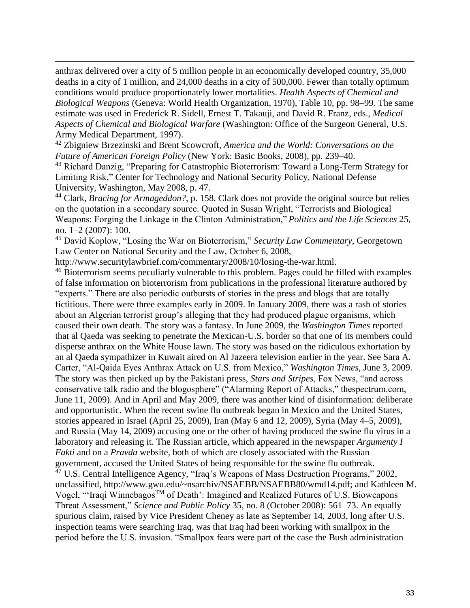anthrax delivered over a city of 5 million people in an economically developed country, 35,000 deaths in a city of 1 million, and 24,000 deaths in a city of 500,000. Fewer than totally optimum conditions would produce proportionately lower mortalities. *Health Aspects of Chemical and Biological Weapons* (Geneva: World Health Organization, 1970), Table 10, pp. 98–99. The same estimate was used in Frederick R. Sidell, Ernest T. Takauji, and David R. Franz, eds., *Medical Aspects of Chemical and Biological Warfare* (Washington: Office of the Surgeon General, U.S. Army Medical Department, 1997).

<sup>42</sup> Zbigniew Brzezinski and Brent Scowcroft, *America and the World: Conversations on the Future of American Foreign Policy* (New York: Basic Books, 2008), pp. 239–40.

<sup>43</sup> Richard Danzig, "Preparing for Catastrophic Bioterrorism: Toward a Long-Term Strategy for Limiting Risk," Center for Technology and National Security Policy, National Defense University, Washington, May 2008, p. 47.

<sup>44</sup> Clark, *Bracing for Armageddon?*, p. 158. Clark does not provide the original source but relies on the quotation in a secondary source. Quoted in Susan Wright, "Terrorists and Biological Weapons: Forging the Linkage in the Clinton Administration," *Politics and the Life Sciences* 25, no. 1–2 (2007): 100.

<sup>45</sup> David Koplow, "Losing the War on Bioterrorism," *Security Law Commentary*, Georgetown Law Center on National Security and the Law, October 6, 2008,

http://www.securitylawbrief.com/commentary/2008/10/losing-the-war.html.

 $\overline{a}$ 

<sup>46</sup> Bioterrorism seems peculiarly vulnerable to this problem. Pages could be filled with examples of false information on bioterrorism from publications in the professional literature authored by "experts." There are also periodic outbursts of stories in the press and blogs that are totally fictitious. There were three examples early in 2009. In January 2009, there was a rash of stories about an Algerian terrorist group's alleging that they had produced plague organisms, which caused their own death. The story was a fantasy. In June 2009, the *Washington Times* reported that al Qaeda was seeking to penetrate the Mexican-U.S. border so that one of its members could disperse anthrax on the White House lawn. The story was based on the ridiculous exhortation by an al Qaeda sympathizer in Kuwait aired on Al Jazeera television earlier in the year. See Sara A. Carter, "Al-Qaida Eyes Anthrax Attack on U.S. from Mexico," *Washington Times*, June 3, 2009. The story was then picked up by the Pakistani press, *Stars and Stripes*, Fox News, "and across conservative talk radio and the blogosphere" ("Alarming Report of Attacks," thespectrum.com, June 11, 2009). And in April and May 2009, there was another kind of disinformation: deliberate and opportunistic. When the recent swine flu outbreak began in Mexico and the United States, stories appeared in Israel (April 25, 2009), Iran (May 6 and 12, 2009), Syria (May 4–5, 2009), and Russia (May 14, 2009) accusing one or the other of having produced the swine flu virus in a laboratory and releasing it. The Russian article, which appeared in the newspaper *Argumenty I Fakti* and on a *Pravda* website*,* both of which are closely associated with the Russian government, accused the United States of being responsible for the swine flu outbreak. <sup>47</sup> U.S. Central Intelligence Agency, "Iraq's Weapons of Mass Destruction Programs," 2002, unclassified, http://www.gwu.edu/~nsarchiv/NSAEBB/NSAEBB80/wmd14.pdf; and Kathleen M. Vogel, "'Iraqi Winnebagos<sup>TM</sup> of Death': Imagined and Realized Futures of U.S. Bioweapons Threat Assessment," *Science and Public Policy* 35, no. 8 (October 2008): 561–73. An equally spurious claim, raised by Vice President Cheney as late as September 14, 2003, long after U.S. inspection teams were searching Iraq, was that Iraq had been working with smallpox in the period before the U.S. invasion. "Smallpox fears were part of the case the Bush administration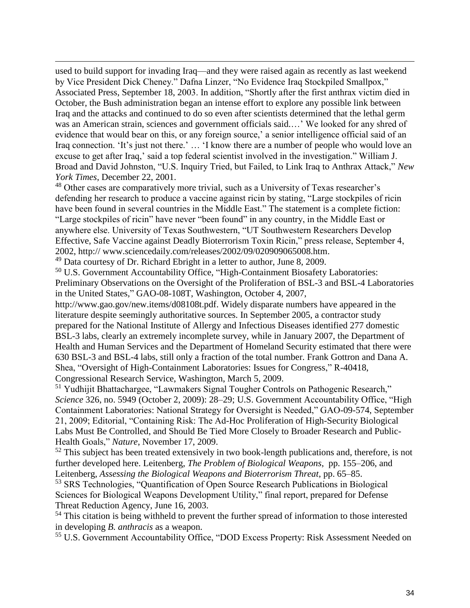used to build support for invading Iraq—and they were raised again as recently as last weekend by Vice President Dick Cheney." Dafna Linzer, "No Evidence Iraq Stockpiled Smallpox," Associated Press, September 18, 2003. In addition, "Shortly after the first anthrax victim died in October, the Bush administration began an intense effort to explore any possible link between Iraq and the attacks and continued to do so even after scientists determined that the lethal germ was an American strain, sciences and government officials said.…' We looked for any shred of evidence that would bear on this, or any foreign source,' a senior intelligence official said of an Iraq connection. 'It's just not there.' … 'I know there are a number of people who would love an excuse to get after Iraq,' said a top federal scientist involved in the investigation." William J. Broad and David Johnston, "U.S. Inquiry Tried, but Failed, to Link Iraq to Anthrax Attack," *New York Times*, December 22, 2001.

<sup>48</sup> Other cases are comparatively more trivial, such as a University of Texas researcher's defending her research to produce a vaccine against ricin by stating, "Large stockpiles of ricin have been found in several countries in the Middle East." The statement is a complete fiction: "Large stockpiles of ricin" have never "been found" in any country, in the Middle East or anywhere else. University of Texas Southwestern, "UT Southwestern Researchers Develop Effective, Safe Vaccine against Deadly Bioterrorism Toxin Ricin," press release, September 4, 2002, http:// www.sciencedaily.com/releases/2002/09/020909065008.htm.

<sup>49</sup> Data courtesy of Dr. Richard Ebright in a letter to author, June 8, 2009.

 $\overline{a}$ 

<sup>50</sup> U.S. Government Accountability Office, "High-Containment Biosafety Laboratories: Preliminary Observations on the Oversight of the Proliferation of BSL-3 and BSL-4 Laboratories in the United States*,*" GAO-08-108T, Washington, October 4, 2007,

http://www.gao.gov/new.items/d08108t.pdf. Widely disparate numbers have appeared in the literature despite seemingly authoritative sources. In September 2005, a contractor study prepared for the National Institute of Allergy and Infectious Diseases identified 277 domestic BSL-3 labs, clearly an extremely incomplete survey, while in January 2007, the Department of Health and Human Services and the Department of Homeland Security estimated that there were 630 BSL-3 and BSL-4 labs, still only a fraction of the total number. Frank Gottron and Dana A. Shea, "Oversight of High-Containment Laboratories: Issues for Congress," R-40418, Congressional Research Service, Washington, March 5, 2009.

<sup>51</sup> Yudhijit Bhattachargee, "Lawmakers Signal Tougher Controls on Pathogenic Research," *Science* 326, no. 5949 (October 2, 2009): 28–29; U.S. Government Accountability Office, "High Containment Laboratories: National Strategy for Oversight is Needed," GAO-09-574, September 21, 2009; Editorial, "Containing Risk: The Ad-Hoc Proliferation of High-Security Biological Labs Must Be Controlled, and Should Be Tied More Closely to Broader Research and Public-Health Goals," *Nature*, November 17, 2009.

 $52$  This subject has been treated extensively in two book-length publications and, therefore, is not further developed here. Leitenberg, *The Problem of Biological Weapons*, pp. 155–206, and Leitenberg, *Assessing the Biological Weapons and Bioterrorism Threat*, pp. 65–85.

<sup>53</sup> SRS Technologies, "Quantification of Open Source Research Publications in Biological Sciences for Biological Weapons Development Utility," final report, prepared for Defense Threat Reduction Agency, June 16, 2003.

<sup>54</sup> This citation is being withheld to prevent the further spread of information to those interested in developing *B. anthracis* as a weapon.

<sup>55</sup> U.S. Government Accountability Office, "DOD Excess Property: Risk Assessment Needed on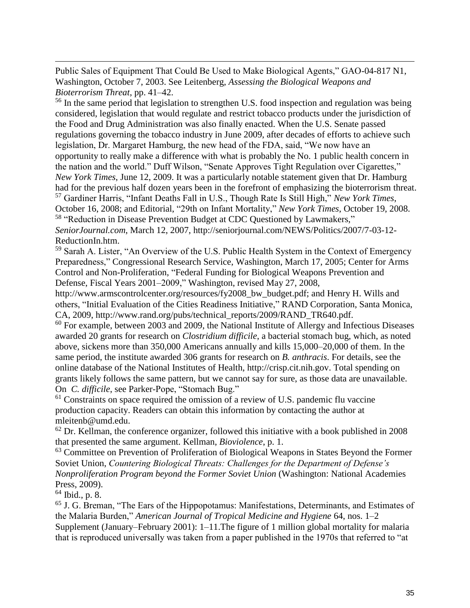Public Sales of Equipment That Could Be Used to Make Biological Agents," GAO-04-817 N1, Washington, October 7, 2003. See Leitenberg, *Assessing the Biological Weapons and Bioterrorism Threat*, pp. 41–42.

<sup>56</sup> In the same period that legislation to strengthen U.S. food inspection and regulation was being considered, legislation that would regulate and restrict tobacco products under the jurisdiction of the Food and Drug Administration was also finally enacted. When the U.S. Senate passed regulations governing the tobacco industry in June 2009, after decades of efforts to achieve such legislation, Dr. Margaret Hamburg, the new head of the FDA, said, "We now have an opportunity to really make a difference with what is probably the No. 1 public health concern in the nation and the world." Duff Wilson, "Senate Approves Tight Regulation over Cigarettes," *New York Times*, June 12, 2009. It was a particularly notable statement given that Dr. Hamburg had for the previous half dozen years been in the forefront of emphasizing the bioterrorism threat. <sup>57</sup> Gardiner Harris, "Infant Deaths Fall in U.S., Though Rate Is Still High," *New York Times*, October 16, 2008; and Editorial, "29th on Infant Mortality," *New York Times*, October 19, 2008. <sup>58</sup> "Reduction in Disease Prevention Budget at CDC Questioned by Lawmakers," *SeniorJournal.com*, March 12, 2007, http://seniorjournal.com/NEWS/Politics/2007/7-03-12- ReductionIn.htm.

<sup>59</sup> Sarah A. Lister, "An Overview of the U.S. Public Health System in the Context of Emergency Preparedness," Congressional Research Service, Washington, March 17, 2005; Center for Arms Control and Non-Proliferation, "Federal Funding for Biological Weapons Prevention and Defense, Fiscal Years 2001–2009," Washington, revised May 27, 2008,

http://www.armscontrolcenter.org/resources/fy2008 bw budget.pdf; and Henry H. Wills and others, "Initial Evaluation of the Cities Readiness Initiative," RAND Corporation, Santa Monica, CA, 2009, http://www.rand.org/pubs/technical\_reports/2009/RAND\_TR640.pdf.

<sup>60</sup> For example, between 2003 and 2009, the National Institute of Allergy and Infectious Diseases awarded 20 grants for research on *Clostridium difficile*, a bacterial stomach bug, which, as noted above, sickens more than 350,000 Americans annually and kills 15,000–20,000 of them. In the same period, the institute awarded 306 grants for research on *B. anthracis*. For details, see the online database of the National Institutes of Health, http://crisp.cit.nih.gov. Total spending on grants likely follows the same pattern, but we cannot say for sure, as those data are unavailable. On *C. difficile*, see Parker-Pope, "Stomach Bug."

 $<sup>61</sup>$  Constraints on space required the omission of a review of U.S. pandemic flu vaccine</sup> production capacity. Readers can obtain this information by contacting the author at mleitenb@umd.edu.

 $62$  Dr. Kellman, the conference organizer, followed this initiative with a book published in 2008 that presented the same argument. Kellman, *Bioviolence*, p. 1.

 $63$  Committee on Prevention of Proliferation of Biological Weapons in States Beyond the Former Soviet Union, *Countering Biological Threats: Challenges for the Department of Defense's Nonproliferation Program beyond the Former Soviet Union* (Washington: National Academies Press, 2009).

 $64$  Ibid., p. 8.

 $\overline{a}$ 

<sup>65</sup> J. G. Breman, "The Ears of the Hippopotamus: Manifestations, Determinants, and Estimates of the Malaria Burden," *American Journal of Tropical Medicine and Hygiene* 64, nos. 1–2 Supplement (January–February 2001): 1–11.The figure of 1 million global mortality for malaria that is reproduced universally was taken from a paper published in the 1970s that referred to "at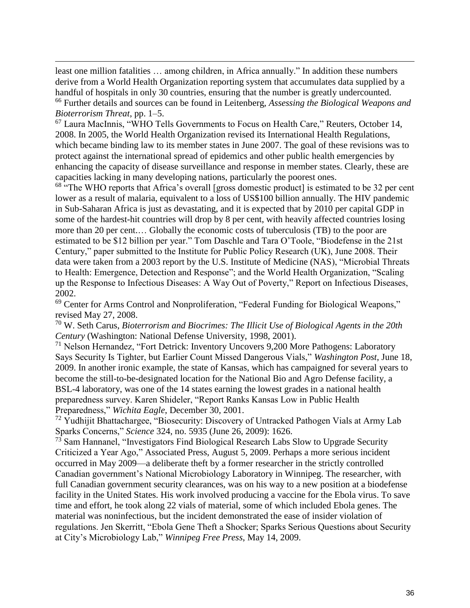least one million fatalities … among children, in Africa annually." In addition these numbers derive from a World Health Organization reporting system that accumulates data supplied by a handful of hospitals in only 30 countries, ensuring that the number is greatly undercounted. <sup>66</sup> Further details and sources can be found in Leitenberg, *Assessing the Biological Weapons and Bioterrorism Threat*, pp. 1–5.

 $\overline{a}$ 

 $<sup>67</sup>$  Laura MacInnis, "WHO Tells Governments to Focus on Health Care," Reuters, October 14,</sup> 2008. In 2005, the World Health Organization revised its International Health Regulations, which became binding law to its member states in June 2007. The goal of these revisions was to protect against the international spread of epidemics and other public health emergencies by enhancing the capacity of disease surveillance and response in member states. Clearly, these are capacities lacking in many developing nations, particularly the poorest ones.

<sup>68</sup> "The WHO reports that Africa's overall [gross domestic product] is estimated to be 32 per cent lower as a result of malaria, equivalent to a loss of US\$100 billion annually. The HIV pandemic in Sub-Saharan Africa is just as devastating, and it is expected that by 2010 per capital GDP in some of the hardest-hit countries will drop by 8 per cent, with heavily affected countries losing more than 20 per cent.… Globally the economic costs of tuberculosis (TB) to the poor are estimated to be \$12 billion per year." Tom Daschle and Tara O'Toole, "Biodefense in the 21st Century," paper submitted to the Institute for Public Policy Research (UK), June 2008. Their data were taken from a 2003 report by the U.S. Institute of Medicine (NAS), "Microbial Threats to Health: Emergence, Detection and Response"; and the World Health Organization, "Scaling up the Response to Infectious Diseases: A Way Out of Poverty," Report on Infectious Diseases, 2002.

<sup>69</sup> Center for Arms Control and Nonproliferation, "Federal Funding for Biological Weapons," revised May 27, 2008.

<sup>70</sup> W. Seth Carus, *Bioterrorism and Biocrimes: The Illicit Use of Biological Agents in the 20th Century* (Washington: National Defense University, 1998, 2001).

<sup>71</sup> Nelson Hernandez, "Fort Detrick: Inventory Uncovers 9,200 More Pathogens: Laboratory Says Security Is Tighter, but Earlier Count Missed Dangerous Vials," *Washington Post*, June 18, 2009. In another ironic example, the state of Kansas, which has campaigned for several years to become the still-to-be-designated location for the National Bio and Agro Defense facility, a BSL-4 laboratory, was one of the 14 states earning the lowest grades in a national health preparedness survey. Karen Shideler, "Report Ranks Kansas Low in Public Health Preparedness," *Wichita Eagle*, December 30, 2001.

<sup>72</sup> Yudhijit Bhattachargee, "Biosecurity: Discovery of Untracked Pathogen Vials at Army Lab Sparks Concerns," *Science* 324, no. 5935 (June 26, 2009): 1626.

 $73$  Sam Hannanel, "Investigators Find Biological Research Labs Slow to Upgrade Security Criticized a Year Ago," Associated Press, August 5, 2009. Perhaps a more serious incident occurred in May 2009—a deliberate theft by a former researcher in the strictly controlled Canadian government's National Microbiology Laboratory in Winnipeg. The researcher, with full Canadian government security clearances, was on his way to a new position at a biodefense facility in the United States. His work involved producing a vaccine for the Ebola virus. To save time and effort, he took along 22 vials of material, some of which included Ebola genes. The material was noninfectious, but the incident demonstrated the ease of insider violation of regulations. Jen Skerritt, "Ebola Gene Theft a Shocker; Sparks Serious Questions about Security at City's Microbiology Lab," *Winnipeg Free Press*, May 14, 2009.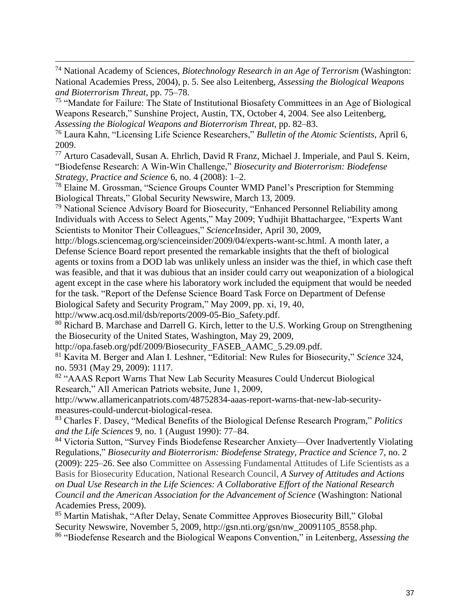<sup>74</sup> National Academy of Sciences, *Biotechnology Research in an Age of Terrorism* (Washington: National Academies Press, 2004), p. 5. See also Leitenberg, *Assessing the Biological Weapons and Bioterrorism Threat*, pp. 75–78.

<sup>75</sup> "Mandate for Failure: The State of Institutional Biosafety Committees in an Age of Biological Weapons Research," Sunshine Project, Austin, TX, October 4, 2004. See also Leitenberg, *Assessing the Biological Weapons and Bioterrorism Threat*, pp. 82–83.

<sup>76</sup> Laura Kahn, "Licensing Life Science Researchers," *Bulletin of the Atomic Scientists*, April 6, 2009.

<sup>77</sup> Arturo Casadevall, Susan A. Ehrlich, David R Franz, Michael J. Imperiale, and Paul S. Keirn, "Biodefense Research: A Win-Win Challenge," *Biosecurity and Bioterrorism: Biodefense Strategy, Practice and Science* 6, no. 4 (2008): 1–2.

<sup>78</sup> Elaine M. Grossman, "Science Groups Counter WMD Panel's Prescription for Stemming Biological Threats," Global Security Newswire, March 13, 2009.

<sup>79</sup> National Science Advisory Board for Biosecurity, "Enhanced Personnel Reliability among Individuals with Access to Select Agents," May 2009; Yudhijit Bhattachargee, "Experts Want Scientists to Monitor Their Colleagues," *Science*Insider, April 30, 2009,

http://blogs.sciencemag.org/scienceinsider/2009/04/experts-want-sc.html. A month later, a Defense Science Board report presented the remarkable insights that the theft of biological agents or toxins from a DOD lab was unlikely unless an insider was the thief, in which case theft was feasible, and that it was dubious that an insider could carry out weaponization of a biological agent except in the case where his laboratory work included the equipment that would be needed for the task. "Report of the Defense Science Board Task Force on Department of Defense Biological Safety and Security Program," May 2009, pp. xi, 19, 40,

http://www.acq.osd.mil/dsb/reports/2009-05-Bio\_Safety.pdf.

 $\overline{a}$ 

<sup>80</sup> Richard B. Marchase and Darrell G. Kirch, letter to the U.S. Working Group on Strengthening the Biosecurity of the United States, Washington, May 29, 2009,

http://opa.faseb.org/pdf/2009/Biosecurity\_FASEB\_AAMC\_5.29.09.pdf.

<sup>81</sup> Kavita M. Berger and Alan I. Leshner, "Editorial: New Rules for Biosecurity," *Science* 324, no. 5931 (May 29, 2009): 1117.

<sup>82</sup> "AAAS Report Warns That New Lab Security Measures Could Undercut Biological Research," All American Patriots website, June 1, 2009,

http://www.allamericanpatriots.com/48752834-aaas-report-warns-that-new-lab-securitymeasures-could-undercut-biological-resea.

<sup>83</sup> Charles F. Dasey, "Medical Benefits of the Biological Defense Research Program," *Politics and the Life Sciences* 9, no. 1 (August 1990): 77–84.

<sup>84</sup> Victoria Sutton, "Survey Finds Biodefense Researcher Anxiety—Over Inadvertently Violating Regulations," *Biosecurity and Bioterrorism: Biodefense Strategy, Practice and Science* 7, no. 2 (2009): 225–26. See also Committee on Assessing Fundamental Attitudes of Life Scientists as a Basis for Biosecurity Education, National Research Council, *A Survey of Attitudes and Actions on Dual Use Research in the Life Sciences: A Collaborative Effort of the National Research Council and the American Association for the Advancement of Science* (Washington: National Academies Press, 2009).

<sup>85</sup> Martin Matishak, "After Delay, Senate Committee Approves Biosecurity Bill," Global Security Newswire, November 5, 2009, http://gsn.nti.org/gsn/nw\_20091105\_8558.php.

<sup>86</sup> "Biodefense Research and the Biological Weapons Convention," in Leitenberg, *Assessing the*